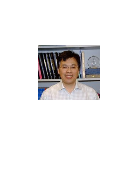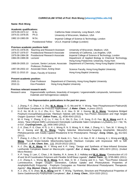# **CURRICULUM VITAE of Prof. Rick Wong [\(wkwong@hkbu.edu.hk\)](mailto:wkwong@hkbu.edu.hk)**

### **Name: Rick Wong**

### **Academic qualifications:**

| 1970.09-1973.12 | B.Sc.               | California State University, Long Beach, USA     |
|-----------------|---------------------|--------------------------------------------------|
| 1974.01-1978.05 | Ph.D.               | University of Wisconsin, Madison, USA            |
| 1982.10-1983.09 | M.Sc.               | Imperial College of Science & Technology, London |
|                 | Postdoctoral Fellow | UCLA; Imperial College (London)                  |

# **Previous academic positions held:**

| 1974.01-1978.05 | Teaching and Research Assistant                              | University of Wisconsin, Madison, USA                                                              |
|-----------------|--------------------------------------------------------------|----------------------------------------------------------------------------------------------------|
| 1978.07-1979.07 | Postdoctoral Research Associate                              | University of California, Los Angeles, USA                                                         |
| 1979.08-1984.08 | Postdoctoral Research Associate                              | Imperial College of Science & Technology, London                                                   |
| 1984.09-1989.08 | Lecturer                                                     | Department of Applied Biology & Chemical Technology,<br>Hong Kong Polytechnic University, Hung Hom |
| 1989.09-2005.10 | Lecturer, Senior Lecturer, Associate<br>Professor, Professor | Department of Chemistry, Hong Kong Baptist University                                              |
| 1997.09-2002.10 | Associate Dean, Acting Dean                                  | Science Faculty, Hong Kong Baptist University                                                      |
| 2002.11-2010.10 | Dean, Faculty of Science                                     | Hong Kong Baptist University                                                                       |
|                 |                                                              |                                                                                                    |

# **Present academic position:**

| $2005.11 -$ | Chair Professor | Department of Chemistry, Hong Kong Baptist University |
|-------------|-----------------|-------------------------------------------------------|
| $2010.11 -$ | Vice-President  | Hong Kong Baptist University                          |

# **Previous relevant research work:**

Research area Organometallic synthesis, bioactivity of inorganic / organometallic compounds, luminescent materials and homogeneous catalysis

# **Ten Representative publications in the past ten years**

- 1. J. Zhang, F.-C. Zhao, X.-J. Zhu, **W. K. Wong**, D.-G. Ma and W. Y. Wong, "New Phosphorescent Platinum(II) Schiff Base Complexes for PHOLED Applications", *J. Mater. Chem.*, *in press* (2012).
- 2. H.-Z. Ke, W.-B. Li, X.-J. Zhu, H.-L. Tam, A.-X. Hou, D. W. J. Kwong, **W. K. Wong**, "Acetylene Bridged Porphyrin-monophthalocyaninato Ytterbium Hybrids with Strong Two-Photon Absorption and High Singlet Oxygen Quantum Yield", *Dalton Trans.*, 41, 4536-4543 (2012).
- 3. W.-X. Feng, Y. Zhang, X.-Q. Lu, Y. Hui, G.-X. Shi, D. Zou, J.-R. Song, D.-D. Fan, **W. K. Wong** and R. A. Jones, "Near-infrared (NIR) Luminescent Homoleptic Lanthanide Salen Complexes  $Ln_4(Salen)_4$  (Ln = Nd, Yb, or Er)", *CrysEngComm.*, 14, 3456-3463 (2012).
- 4. Z.-X. Zhao, P.-S. Chan, H.-G. Li, K. L. Wong, R. N. S. Wong, N. K. Mak, J. Zhang, H. L. Tam,W. Y. Wong, D. W. J. Kwong and **W. K. Wong**, "Highly Selective Mitochondria-Targeting Amphiphilic Silicon(IV) Phthalocyanines with Axially Ligated Rhodamine B for Photodynamic Therapy", *Inorg. Chem***.**, 51*,* 812-821 (2012).
- 5. T. Zhang, X.-J Zhu, C. C. W. Cheng, W. M. Kwok, H. L. Tam, J.-H. Hao, D. W. J. Kwong, K. L. Wong and **W. K. Wong**, "Novel Water-Soluble Mitochondria-Specific Ytterbium Complex with Impressive NIR to NIR Emission", *J. Am. Chem. Soc.*, 133*,* 20120-20122 (2011).
- 6. X.-J. Zhu, **W. K. Wong**, W. Y. Wong and X.-P. Yang, "Design and Synthesis of Near-Infrared Emissive Lanthanide Complexes Based on Macrocyclic Ligands", *Eur. J. Inorg. Chem***.**, 4651-4674 (2011). (Invited Micro-Review)
- 7. X.-P. Yang, D. Lam, C. Chan, J. M. Stanley, R. A. Jones, B. J. Holliday and **W. K. Wong**, "Construction of 1-D 4f and 3d-4f Coordination Polymers with Flexible Schiff Base Ligands", *Dalton Trans.,* 40, 9795-9801 (2011).
- 8. J.-X. Zhang, K. L. Wong*,* **W. K. Wong**, N.-K. Mak, D. W. J. Kwong and H.-L. Tam, "Two-Photon Induced Luminescence, Singlet Oxygen Generation, Cellular Uptake and Photocytotoxic Properties of AmphiphilicRu(II) Polypyridyl - Porphyrin Conjugates as Potential Bifunctional Photodynamic Therapeutic Agents", *Org. Biomol. Chem.*, 9*,* 6004-6010 (2011).
- 9. X.-J. Zhu, S.-S. Zhao, **W. K. Wong** and W. Y. Wong, "Synthesis, Structure and Photophysical Properties of Some Gadolinium(III) Porphyrinate Complexes", *Eur. J. Inorg. Chem***.**, 3314-3320 (2011).